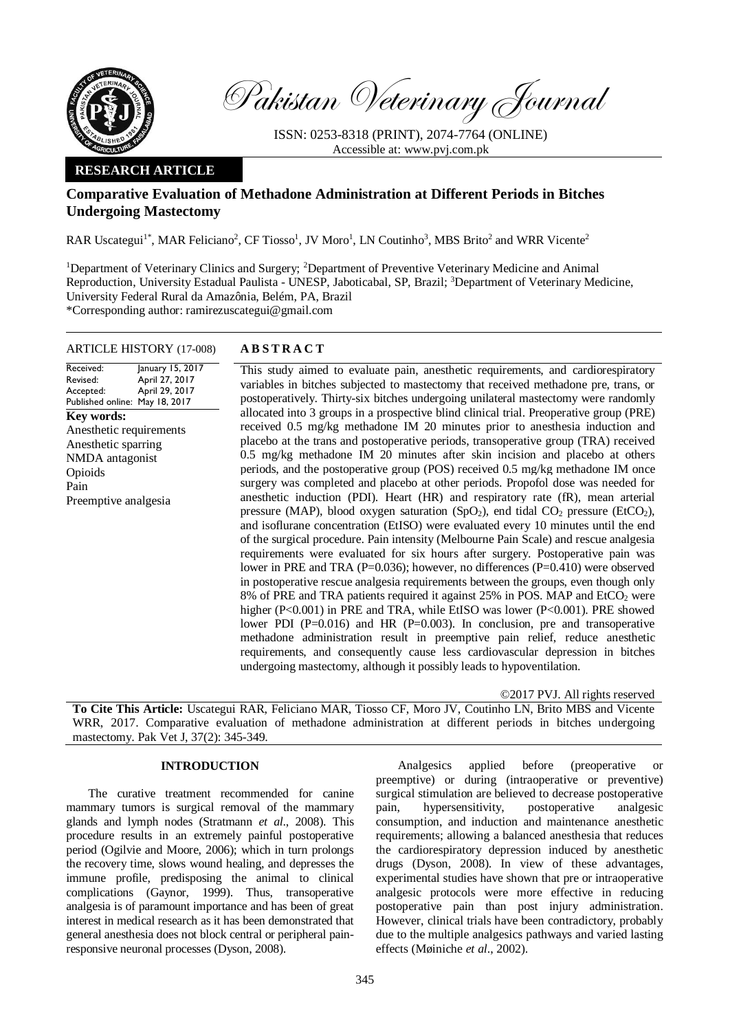

Pakistan Veterinary Journal

ISSN: 0253-8318 (PRINT), 2074-7764 (ONLINE) Accessible at: [www.pvj.com.pk](http://www.pvj.com.pk/)

## **RESEARCH ARTICLE**

# **Comparative Evaluation of Methadone Administration at Different Periods in Bitches Undergoing Mastectomy**

RAR Uscategui<sup>1\*</sup>, MAR Feliciano<sup>2</sup>, CF Tiosso<sup>1</sup>, JV Moro<sup>1</sup>, LN Coutinho<sup>3</sup>, MBS Brito<sup>2</sup> and WRR Vicente<sup>2</sup>

<sup>1</sup>Department of Veterinary Clinics and Surgery; <sup>2</sup>Department of Preventive Veterinary Medicine and Animal Reproduction, University Estadual Paulista - UNESP, Jaboticabal, SP, Brazil; <sup>3</sup>Department of Veterinary Medicine, University Federal Rural da Amazônia, Belém, PA, Brazil \*Corresponding author: ramirezuscategui@gmail.com

# ARTICLE HISTORY (17-008) **A B S T R A C T**

#### Received: Revised: Accepted: Published online: May 18, 2017 January 15, 2017 April 27, 2017 April 29, 2017 **Key words:**  Anesthetic requirements Anesthetic sparring NMDA antagonist Opioids Pain Preemptive analgesia

This study aimed to evaluate pain, anesthetic requirements, and cardiorespiratory variables in bitches subjected to mastectomy that received methadone pre, trans, or postoperatively. Thirty-six bitches undergoing unilateral mastectomy were randomly allocated into 3 groups in a prospective blind clinical trial. Preoperative group (PRE) received 0.5 mg/kg methadone IM 20 minutes prior to anesthesia induction and placebo at the trans and postoperative periods, transoperative group (TRA) received 0.5 mg/kg methadone IM 20 minutes after skin incision and placebo at others periods, and the postoperative group (POS) received 0.5 mg/kg methadone IM once surgery was completed and placebo at other periods. Propofol dose was needed for anesthetic induction (PDI). Heart (HR) and respiratory rate (fR), mean arterial pressure (MAP), blood oxygen saturation  $(SpO<sub>2</sub>)$ , end tidal  $CO<sub>2</sub>$  pressure (EtCO<sub>2</sub>), and isoflurane concentration (EtISO) were evaluated every 10 minutes until the end of the surgical procedure. Pain intensity (Melbourne Pain Scale) and rescue analgesia requirements were evaluated for six hours after surgery. Postoperative pain was lower in PRE and TRA (P=0.036); however, no differences (P=0.410) were observed in postoperative rescue analgesia requirements between the groups, even though only 8% of PRE and TRA patients required it against 25% in POS. MAP and EtCO<sub>2</sub> were higher (P<0.001) in PRE and TRA, while EtISO was lower (P<0.001). PRE showed lower PDI ( $P=0.016$ ) and HR ( $P=0.003$ ). In conclusion, pre and transoperative methadone administration result in preemptive pain relief, reduce anesthetic requirements, and consequently cause less cardiovascular depression in bitches undergoing mastectomy, although it possibly leads to hypoventilation.

©2017 PVJ. All rights reserved

**To Cite This Article:** Uscategui RAR, Feliciano MAR, Tiosso CF, Moro JV, Coutinho LN, Brito MBS and Vicente WRR, 2017. Comparative evaluation of methadone administration at different periods in bitches undergoing mastectomy. Pak Vet J, 37(2): 345-349.

## **INTRODUCTION**

The curative treatment recommended for canine mammary tumors is surgical removal of the mammary glands and lymph nodes (Stratmann *et al*., 2008). This procedure results in an extremely painful postoperative period (Ogilvie and Moore, 2006); which in turn prolongs the recovery time, slows wound healing, and depresses the immune profile, predisposing the animal to clinical complications (Gaynor, 1999). Thus, transoperative analgesia is of paramount importance and has been of great interest in medical research as it has been demonstrated that general anesthesia does not block central or peripheral painresponsive neuronal processes (Dyson, 2008).

Analgesics applied before (preoperative preemptive) or during (intraoperative or preventive) surgical stimulation are believed to decrease postoperative pain, hypersensitivity, postoperative analgesic consumption, and induction and maintenance anesthetic requirements; allowing a balanced anesthesia that reduces the cardiorespiratory depression induced by anesthetic drugs (Dyson, 2008). In view of these advantages, experimental studies have shown that pre or intraoperative analgesic protocols were more effective in reducing postoperative pain than post injury administration. However, clinical trials have been contradictory, probably due to the multiple analgesics pathways and varied lasting effects (Møiniche *et al*., 2002).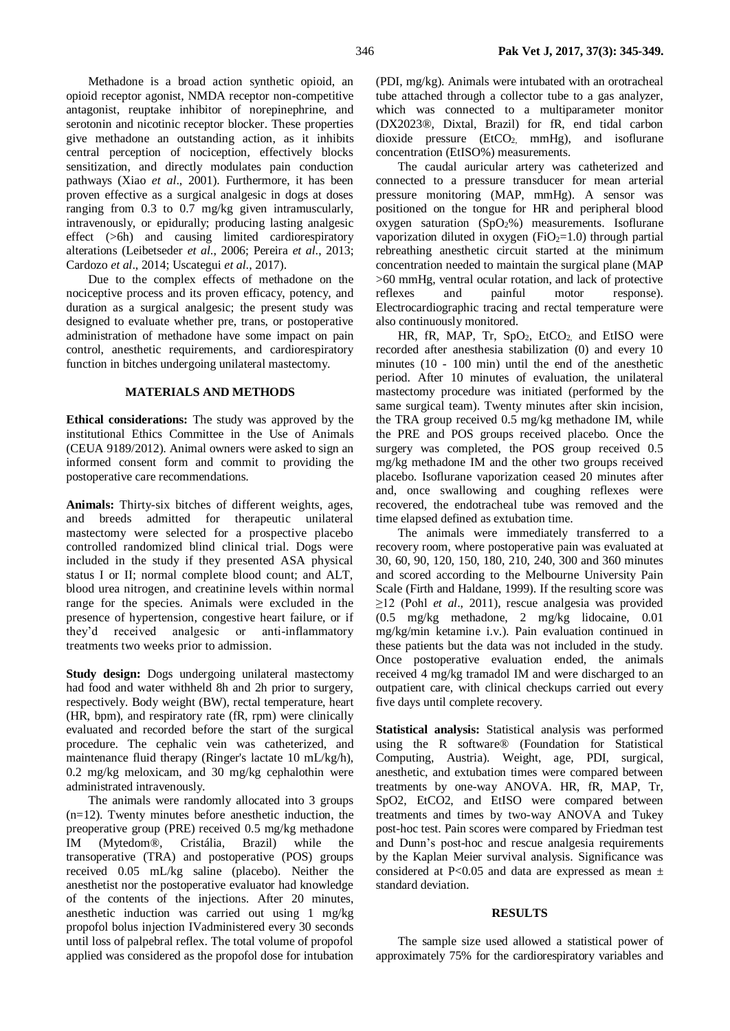Methadone is a broad action synthetic opioid, an opioid receptor agonist, NMDA receptor non-competitive antagonist, reuptake inhibitor of norepinephrine, and serotonin and nicotinic receptor blocker. These properties give methadone an outstanding action, as it inhibits central perception of nociception, effectively blocks sensitization, and directly modulates pain conduction pathways (Xiao *et al*., 2001). Furthermore, it has been proven effective as a surgical analgesic in dogs at doses ranging from 0.3 to 0.7 mg/kg given intramuscularly, intravenously, or epidurally; producing lasting analgesic effect (>6h) and causing limited cardiorespiratory alterations (Leibetseder *et al*., 2006; Pereira *et al*., 2013; Cardozo *et al*., 2014; Uscategui *et al*., 2017).

Due to the complex effects of methadone on the nociceptive process and its proven efficacy, potency, and duration as a surgical analgesic; the present study was designed to evaluate whether pre, trans, or postoperative administration of methadone have some impact on pain control, anesthetic requirements, and cardiorespiratory function in bitches undergoing unilateral mastectomy.

## **MATERIALS AND METHODS**

**Ethical considerations:** The study was approved by the institutional Ethics Committee in the Use of Animals (CEUA 9189/2012). Animal owners were asked to sign an informed consent form and commit to providing the postoperative care recommendations.

**Animals:** Thirty-six bitches of different weights, ages, and breeds admitted for therapeutic unilateral mastectomy were selected for a prospective placebo controlled randomized blind clinical trial. Dogs were included in the study if they presented ASA physical status I or II; normal complete blood count; and ALT, blood urea nitrogen, and creatinine levels within normal range for the species. Animals were excluded in the presence of hypertension, congestive heart failure, or if they'd received analgesic or anti-inflammatory treatments two weeks prior to admission.

**Study design:** Dogs undergoing unilateral mastectomy had food and water withheld 8h and 2h prior to surgery, respectively. Body weight (BW), rectal temperature, heart (HR, bpm), and respiratory rate (fR, rpm) were clinically evaluated and recorded before the start of the surgical procedure. The cephalic vein was catheterized, and maintenance fluid therapy (Ringer's lactate 10 mL/kg/h), 0.2 mg/kg meloxicam, and 30 mg/kg cephalothin were administrated intravenously.

The animals were randomly allocated into 3 groups  $(n=12)$ . Twenty minutes before anesthetic induction, the preoperative group (PRE) received 0.5 mg/kg methadone IM (Mytedom®, Cristália, Brazil) while the transoperative (TRA) and postoperative (POS) groups received 0.05 mL/kg saline (placebo). Neither the anesthetist nor the postoperative evaluator had knowledge of the contents of the injections. After 20 minutes, anesthetic induction was carried out using 1 mg/kg propofol bolus injection IVadministered every 30 seconds until loss of palpebral reflex. The total volume of propofol applied was considered as the propofol dose for intubation

(PDI, mg/kg). Animals were intubated with an orotracheal tube attached through a collector tube to a gas analyzer, which was connected to a multiparameter monitor (DX2023®, Dixtal, Brazil) for fR, end tidal carbon dioxide pressure (EtCO2, mmHg), and isoflurane concentration (EtISO%) measurements.

The caudal auricular artery was catheterized and connected to a pressure transducer for mean arterial pressure monitoring (MAP, mmHg). A sensor was positioned on the tongue for HR and peripheral blood oxygen saturation  $(SpO<sub>2</sub>%)$  measurements. Isoflurane vaporization diluted in oxygen ( $FiO<sub>2</sub>=1.0$ ) through partial rebreathing anesthetic circuit started at the minimum concentration needed to maintain the surgical plane (MAP >60 mmHg, ventral ocular rotation, and lack of protective reflexes and painful motor response). Electrocardiographic tracing and rectal temperature were also continuously monitored.

HR, fR, MAP, Tr,  $SpO<sub>2</sub>$ , EtCO<sub>2</sub> and EtISO were recorded after anesthesia stabilization (0) and every 10 minutes (10 - 100 min) until the end of the anesthetic period. After 10 minutes of evaluation, the unilateral mastectomy procedure was initiated (performed by the same surgical team). Twenty minutes after skin incision, the TRA group received 0.5 mg/kg methadone IM, while the PRE and POS groups received placebo. Once the surgery was completed, the POS group received 0.5 mg/kg methadone IM and the other two groups received placebo. Isoflurane vaporization ceased 20 minutes after and, once swallowing and coughing reflexes were recovered, the endotracheal tube was removed and the time elapsed defined as extubation time.

The animals were immediately transferred to a recovery room, where postoperative pain was evaluated at 30, 60, 90, 120, 150, 180, 210, 240, 300 and 360 minutes and scored according to the Melbourne University Pain Scale (Firth and Haldane, 1999). If the resulting score was ≥12 (Pohl *et al*., 2011), rescue analgesia was provided (0.5 mg/kg methadone, 2 mg/kg lidocaine, 0.01 mg/kg/min ketamine i.v.). Pain evaluation continued in these patients but the data was not included in the study. Once postoperative evaluation ended, the animals received 4 mg/kg tramadol IM and were discharged to an outpatient care, with clinical checkups carried out every five days until complete recovery.

**Statistical analysis:** Statistical analysis was performed using the R software® (Foundation for Statistical Computing, Austria). Weight, age, PDI, surgical, anesthetic, and extubation times were compared between treatments by one-way ANOVA. HR, fR, MAP, Tr, SpO2, EtCO2, and EtISO were compared between treatments and times by two-way ANOVA and Tukey post-hoc test. Pain scores were compared by Friedman test and Dunn's post-hoc and rescue analgesia requirements by the Kaplan Meier survival analysis. Significance was considered at P<0.05 and data are expressed as mean  $\pm$ standard deviation.

#### **RESULTS**

The sample size used allowed a statistical power of approximately 75% for the cardiorespiratory variables and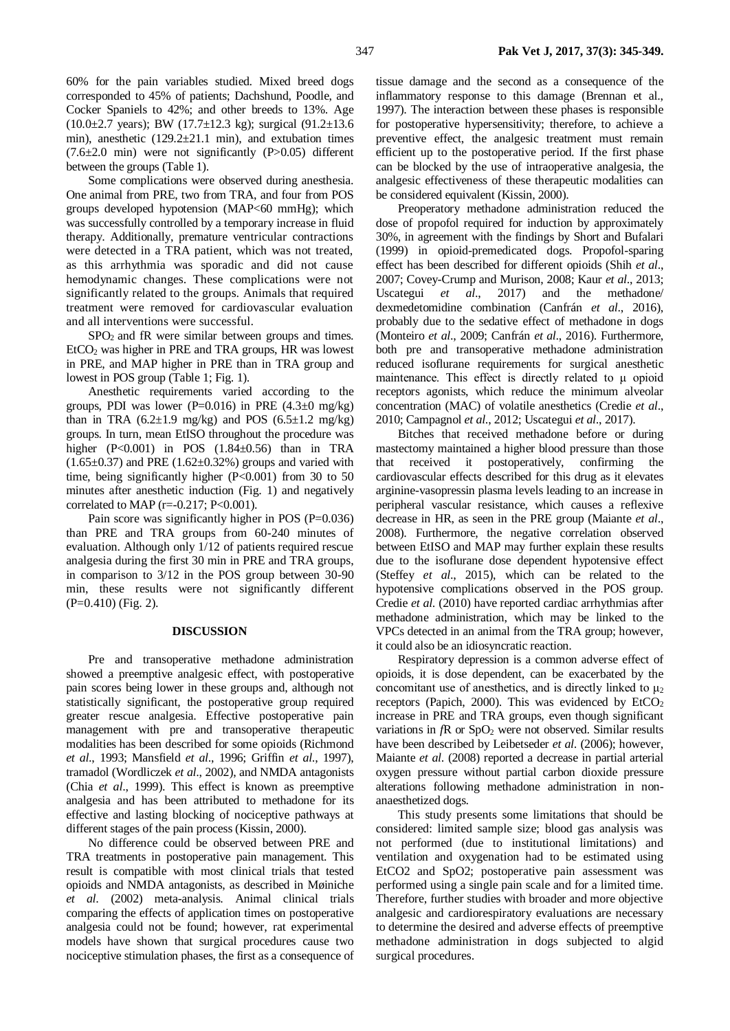60% for the pain variables studied. Mixed breed dogs corresponded to 45% of patients; Dachshund, Poodle, and Cocker Spaniels to 42%; and other breeds to 13%. Age (10.0 $\pm$ 2.7 years); BW (17.7 $\pm$ 12.3 kg); surgical (91.2 $\pm$ 13.6 min), anesthetic (129.2±21.1 min), and extubation times (7.6±2.0 min) were not significantly (P>0.05) different between the groups (Table 1).

Some complications were observed during anesthesia. One animal from PRE, two from TRA, and four from POS groups developed hypotension (MAP<60 mmHg); which was successfully controlled by a temporary increase in fluid therapy. Additionally, premature ventricular contractions were detected in a TRA patient, which was not treated, as this arrhythmia was sporadic and did not cause hemodynamic changes. These complications were not significantly related to the groups. Animals that required treatment were removed for cardiovascular evaluation and all interventions were successful.

SPO<sub>2</sub> and fR were similar between groups and times.  $E(CO<sub>2</sub>$  was higher in PRE and TRA groups, HR was lowest in PRE, and MAP higher in PRE than in TRA group and lowest in POS group (Table 1; Fig. 1).

Anesthetic requirements varied according to the groups, PDI was lower (P=0.016) in PRE  $(4.3\pm0$  mg/kg) than in TRA  $(6.2\pm1.9 \text{ mg/kg})$  and POS  $(6.5\pm1.2 \text{ mg/kg})$ groups. In turn, mean EtISO throughout the procedure was higher (P<0.001) in POS (1.84±0.56) than in TRA  $(1.65\pm0.37)$  and PRE  $(1.62\pm0.32\%)$  groups and varied with time, being significantly higher  $(P<0.001)$  from 30 to 50 minutes after anesthetic induction (Fig. 1) and negatively correlated to MAP ( $r = -0.217$ ; P<0.001).

Pain score was significantly higher in POS (P=0.036) than PRE and TRA groups from 60-240 minutes of evaluation. Although only 1/12 of patients required rescue analgesia during the first 30 min in PRE and TRA groups, in comparison to 3/12 in the POS group between 30-90 min, these results were not significantly different (P=0.410) (Fig. 2).

### **DISCUSSION**

Pre and transoperative methadone administration showed a preemptive analgesic effect, with postoperative pain scores being lower in these groups and, although not statistically significant, the postoperative group required greater rescue analgesia. Effective postoperative pain management with pre and transoperative therapeutic modalities has been described for some opioids (Richmond *et al*., 1993; Mansfield *et al*., 1996; Griffin *et al*., 1997), tramadol (Wordliczek *et al*., 2002), and NMDA antagonists (Chia *et al*., 1999). This effect is known as preemptive analgesia and has been attributed to methadone for its effective and lasting blocking of nociceptive pathways at different stages of the pain process (Kissin, 2000).

No difference could be observed between PRE and TRA treatments in postoperative pain management. This result is compatible with most clinical trials that tested opioids and NMDA antagonists, as described in Møiniche *et al*. (2002) meta-analysis. Animal clinical trials comparing the effects of application times on postoperative analgesia could not be found; however, rat experimental models have shown that surgical procedures cause two nociceptive stimulation phases, the first as a consequence of

347 **Pak Vet J, 2017, 37(3): 345-349.**

tissue damage and the second as a consequence of the inflammatory response to this damage (Brennan et al., 1997). The interaction between these phases is responsible for postoperative hypersensitivity; therefore, to achieve a preventive effect, the analgesic treatment must remain efficient up to the postoperative period. If the first phase can be blocked by the use of intraoperative analgesia, the analgesic effectiveness of these therapeutic modalities can be considered equivalent (Kissin, 2000).

Preoperatory methadone administration reduced the dose of propofol required for induction by approximately 30%, in agreement with the findings by Short and Bufalari (1999) in opioid-premedicated dogs. Propofol-sparing effect has been described for different opioids (Shih *et al*., 2007; Covey-Crump and Murison, 2008; Kaur *et al*., 2013; Uscategui *et al*., 2017) and the methadone/ dexmedetomidine combination (Canfrán *et al*., 2016), probably due to the sedative effect of methadone in dogs (Monteiro *et al*., 2009; Canfrán *et al*., 2016). Furthermore, both pre and transoperative methadone administration reduced isoflurane requirements for surgical anesthetic maintenance. This effect is directly related to μ opioid receptors agonists, which reduce the minimum alveolar concentration (MAC) of volatile anesthetics (Credie *et al*., 2010; Campagnol *et al*., 2012; Uscategui *et al*., 2017).

Bitches that received methadone before or during mastectomy maintained a higher blood pressure than those that received it postoperatively, confirming the cardiovascular effects described for this drug as it elevates arginine-vasopressin plasma levels leading to an increase in peripheral vascular resistance, which causes a reflexive decrease in HR, as seen in the PRE group (Maiante *et al*., 2008). Furthermore, the negative correlation observed between EtISO and MAP may further explain these results due to the isoflurane dose dependent hypotensive effect (Steffey *et al*., 2015), which can be related to the hypotensive complications observed in the POS group. Credie *et al*. (2010) have reported cardiac arrhythmias after methadone administration, which may be linked to the VPCs detected in an animal from the TRA group; however, it could also be an idiosyncratic reaction.

Respiratory depression is a common adverse effect of opioids, it is dose dependent, can be exacerbated by the concomitant use of anesthetics, and is directly linked to  $\mu_2$ receptors (Papich, 2000). This was evidenced by  $EtCO<sub>2</sub>$ increase in PRE and TRA groups, even though significant variations in *f*R or SpO<sub>2</sub> were not observed. Similar results have been described by Leibetseder *et al*. (2006); however, Maiante *et al*. (2008) reported a decrease in partial arterial oxygen pressure without partial carbon dioxide pressure alterations following methadone administration in nonanaesthetized dogs.

This study presents some limitations that should be considered: limited sample size; blood gas analysis was not performed (due to institutional limitations) and ventilation and oxygenation had to be estimated using EtCO2 and SpO2; postoperative pain assessment was performed using a single pain scale and for a limited time. Therefore, further studies with broader and more objective analgesic and cardiorespiratory evaluations are necessary to determine the desired and adverse effects of preemptive methadone administration in dogs subjected to algid surgical procedures.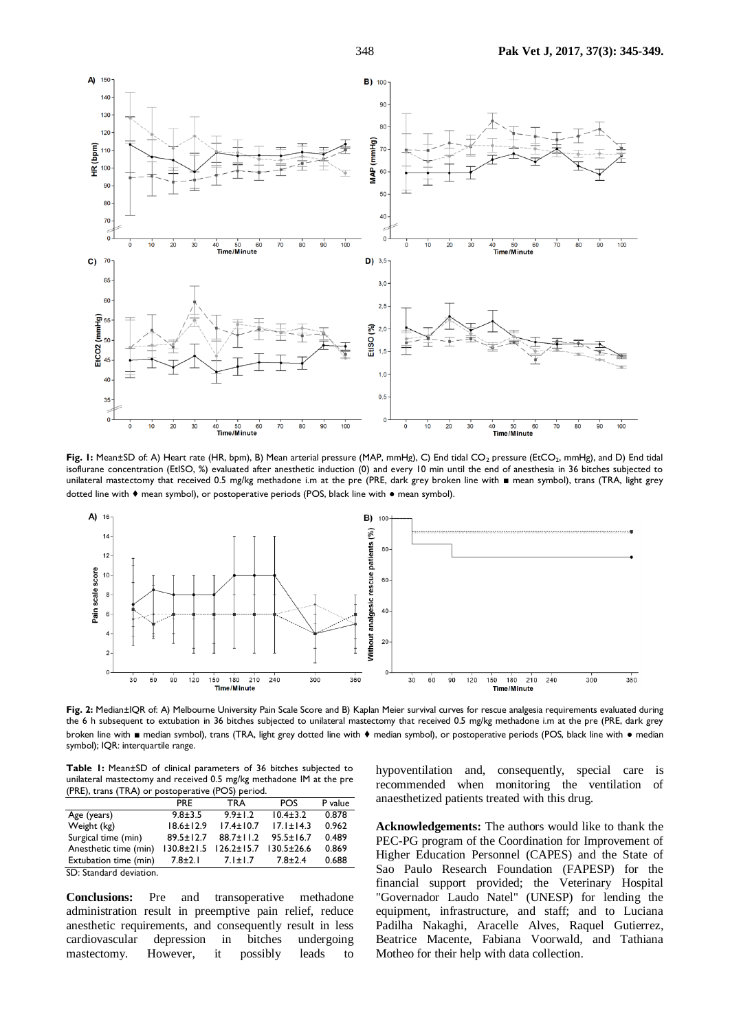

Fig. 1: Mean±SD of: A) Heart rate (HR, bpm), B) Mean arterial pressure (MAP, mmHg), C) End tidal CO<sub>2</sub> pressure (EtCO<sub>2</sub>, mmHg), and D) End tidal isoflurane concentration (EtISO, %) evaluated after anesthetic induction (0) and every 10 min until the end of anesthesia in 36 bitches subjected to unilateral mastectomy that received 0.5 mg/kg methadone i.m at the pre (PRE, dark grey broken line with ■ mean symbol), trans (TRA, light grey dotted line with ♦ mean symbol), or postoperative periods (POS, black line with ● mean symbol).



**Fig. 2:** Median±IQR of: A) Melbourne University Pain Scale Score and B) Kaplan Meier survival curves for rescue analgesia requirements evaluated during the 6 h subsequent to extubation in 36 bitches subjected to unilateral mastectomy that received 0.5 mg/kg methadone i.m at the pre (PRE, dark grey broken line with ■ median symbol), trans (TRA, light grey dotted line with ♦ median symbol), or postoperative periods (POS, black line with ● median symbol); IQR: interquartile range.

**Table 1:** Mean±SD of clinical parameters of 36 bitches subjected to unilateral mastectomy and received 0.5 mg/kg methadone IM at the pre (PRE), trans (TRA) or postoperative (POS) period.

|                         | <b>PRF</b>       | <b>TRA</b>       | <b>POS</b>       | P value |
|-------------------------|------------------|------------------|------------------|---------|
| Age (years)             | $9.8 + 3.5$      | $9.9 \pm 1.2$    | $10.4 \pm 3.2$   | 0.878   |
| Weight (kg)             | $18.6 \pm 12.9$  | $17.4 \pm 10.7$  | $17.1 \pm 14.3$  | 0.962   |
| Surgical time (min)     | $89.5 \pm 12.7$  | $88.7 \pm 11.2$  | $95.5 \pm 16.7$  | 0.489   |
| Anesthetic time (min)   | $130.8 \pm 21.5$ | $126.2 \pm 15.7$ | $130.5 \pm 26.6$ | 0.869   |
| Extubation time (min)   | $7.8 \pm 2.1$    | $7.1 \pm 1.7$    | $7.8 \pm 2.4$    | 0.688   |
| SD: Standard deviation. |                  |                  |                  |         |

**Conclusions:** Pre and transoperative methadone administration result in preemptive pain relief, reduce anesthetic requirements, and consequently result in less cardiovascular depression in bitches undergoing mastectomy. However, it possibly leads to

hypoventilation and, consequently, special care is recommended when monitoring the ventilation of anaesthetized patients treated with this drug.

**Acknowledgements:** The authors would like to thank the PEC-PG program of the Coordination for Improvement of Higher Education Personnel (CAPES) and the State of Sao Paulo Research Foundation (FAPESP) for the financial support provided; the Veterinary Hospital "Governador Laudo Natel" (UNESP) for lending the equipment, infrastructure, and staff; and to Luciana Padilha Nakaghi, Aracelle Alves, Raquel Gutierrez, Beatrice Macente, Fabiana Voorwald, and Tathiana Motheo for their help with data collection.